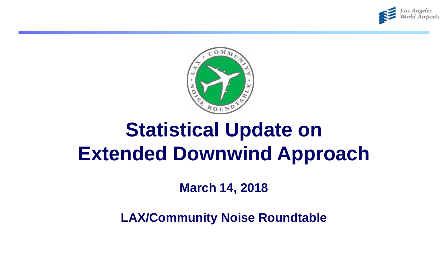



## **Statistical Update on Extended Downwind Approach**

**March 14, 2018**

**LAX/Community Noise Roundtable**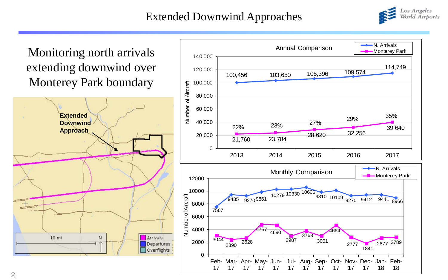## Extended Downwind Approaches



Monitoring north arrivals extending downwind over Monterey Park boundary